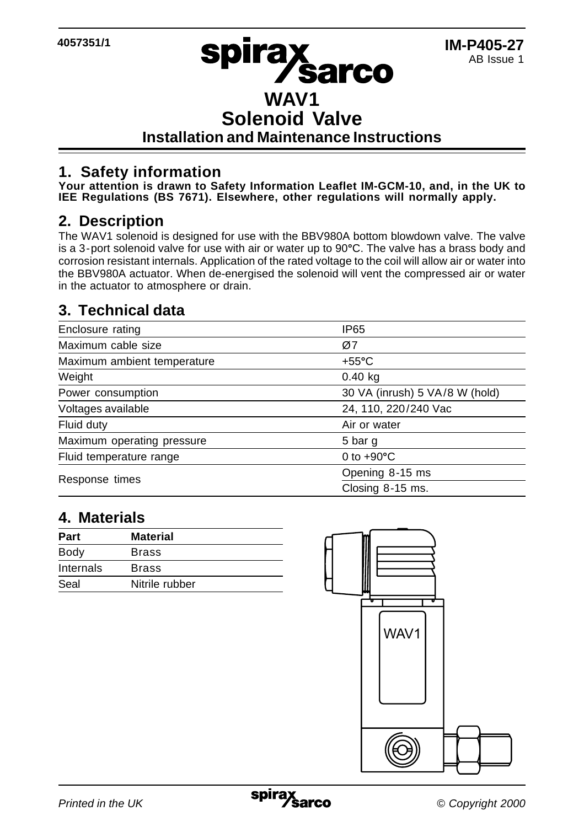## **WAV1 Solenoid Valve Installation and Maintenance Instructions**

### **1. Safety information**

**Your attention is drawn to Safety Information Leaflet IM-GCM-10, and, in the UK to IEE Regulations (BS 7671). Elsewhere, other regulations will normally apply.**

#### **2. Description**

The WAV1 solenoid is designed for use with the BBV980A bottom blowdown valve. The valve is a 3-port solenoid valve for use with air or water up to 90**°**C. The valve has a brass body and corrosion resistant internals. Application of the rated voltage to the coil will allow air or water into the BBV980A actuator. When de-energised the solenoid will vent the compressed air or water in the actuator to atmosphere or drain.

### **3. Technical data**

| Enclosure rating            | <b>IP65</b>                    |
|-----------------------------|--------------------------------|
| Maximum cable size          | Ø7                             |
| Maximum ambient temperature | $+55^{\circ}$ C                |
| Weight                      | $0.40$ kg                      |
| Power consumption           | 30 VA (inrush) 5 VA/8 W (hold) |
| Voltages available          | 24, 110, 220/240 Vac           |
| Fluid duty                  | Air or water                   |
| Maximum operating pressure  | 5 bar g                        |
| Fluid temperature range     | 0 to $+90^{\circ}$ C           |
| Response times              | Opening 8-15 ms                |
|                             | Closing 8-15 ms.               |

#### **4. Materials**

| Part      | <b>Material</b> |
|-----------|-----------------|
| Body      | <b>Brass</b>    |
| Internals | <b>Brass</b>    |
| Seal      | Nitrile rubber  |